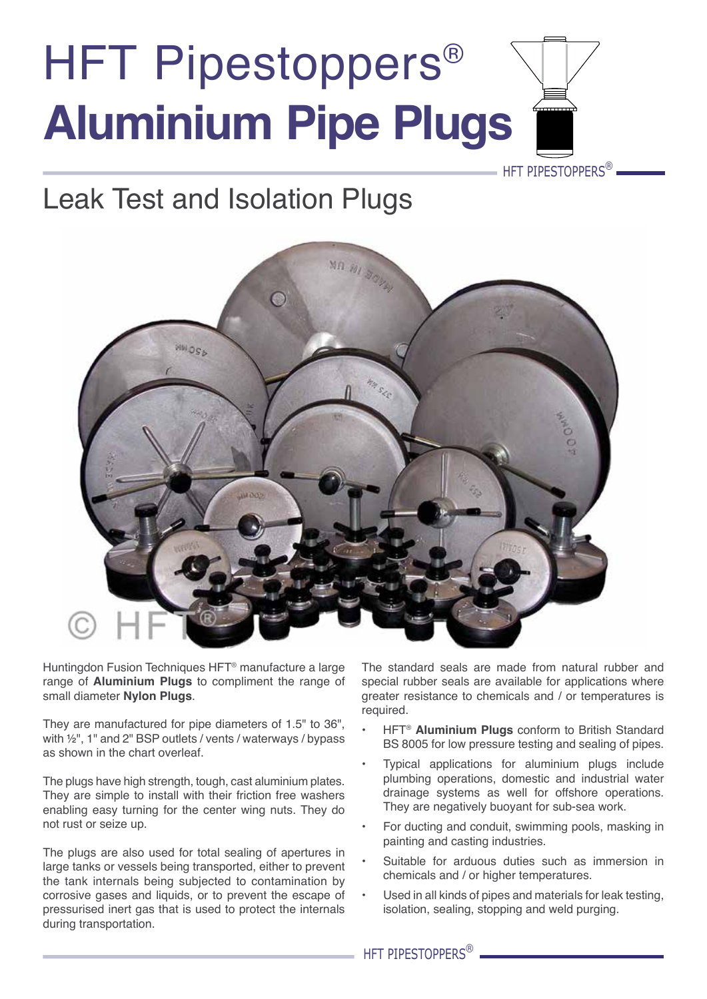## HFT Pipestoppers<sup>®</sup> **Aluminium Pipe Plugs**

### Leak Test and Isolation Plugs



Huntingdon Fusion Techniques HFT® manufacture a large range of **Aluminium Plugs** to compliment the range of small diameter **Nylon Plugs**.

They are manufactured for pipe diameters of 1.5" to 36", with ½", 1" and 2" BSP outlets / vents / waterways / bypass as shown in the chart overleaf.

The plugs have high strength, tough, cast aluminium plates. They are simple to install with their friction free washers enabling easy turning for the center wing nuts. They do not rust or seize up.

The plugs are also used for total sealing of apertures in large tanks or vessels being transported, either to prevent the tank internals being subjected to contamination by corrosive gases and liquids, or to prevent the escape of pressurised inert gas that is used to protect the internals during transportation.

The standard seals are made from natural rubber and special rubber seals are available for applications where greater resistance to chemicals and / or temperatures is required.

HFT PIPESTOPPERS<sup>®</sup>

- HFT<sup>®</sup> Aluminium Plugs conform to British Standard BS 8005 for low pressure testing and sealing of pipes.
- Typical applications for aluminium plugs include plumbing operations, domestic and industrial water drainage systems as well for offshore operations. They are negatively buoyant for sub-sea work.
- For ducting and conduit, swimming pools, masking in painting and casting industries.
- Suitable for arduous duties such as immersion in chemicals and / or higher temperatures.
- Used in all kinds of pipes and materials for leak testing, isolation, sealing, stopping and weld purging.